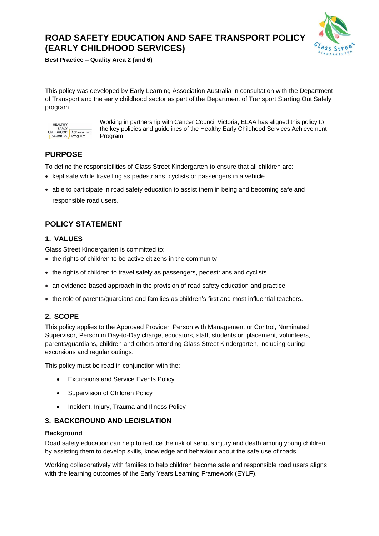# **ROAD SAFETY EDUCATION AND SAFE TRANSPORT POLICY (EARLY CHILDHOOD SERVICES)**



**Best Practice – Quality Area 2 (and 6)**

This policy was developed by Early Learning Association Australia in consultation with the Department of Transport and the early childhood sector as part of the Department of Transport Starting Out Safely program.



Working in partnership with Cancer Council Victoria, ELAA has aligned this policy to the key policies and guidelines of the Healthy Early Childhood Services Achievement Program

## **PURPOSE**

To define the responsibilities of Glass Street Kindergarten to ensure that all children are:

- kept safe while travelling as pedestrians, cyclists or passengers in a vehicle
- able to participate in road safety education to assist them in being and becoming safe and responsible road users.

# **POLICY STATEMENT**

## **1. VALUES**

Glass Street Kindergarten is committed to:

- the rights of children to be active citizens in the community
- the rights of children to travel safely as passengers, pedestrians and cyclists
- an evidence-based approach in the provision of road safety education and practice
- the role of parents/guardians and families as children's first and most influential teachers.

## **2. SCOPE**

This policy applies to the Approved Provider, Person with Management or Control, Nominated Supervisor, Person in Day-to-Day charge, educators, staff, students on placement, volunteers, parents/guardians, children and others attending Glass Street Kindergarten, including during excursions and regular outings.

This policy must be read in conjunction with the:

- Excursions and Service Events Policy
- Supervision of Children Policy
- Incident, Injury, Trauma and Illness Policy

## **3. BACKGROUND AND LEGISLATION**

## **Background**

Road safety education can help to reduce the risk of serious injury and death among young children by assisting them to develop skills, knowledge and behaviour about the safe use of roads.

Working collaboratively with families to help children become safe and responsible road users aligns with the learning outcomes of the Early Years Learning Framework (EYLF).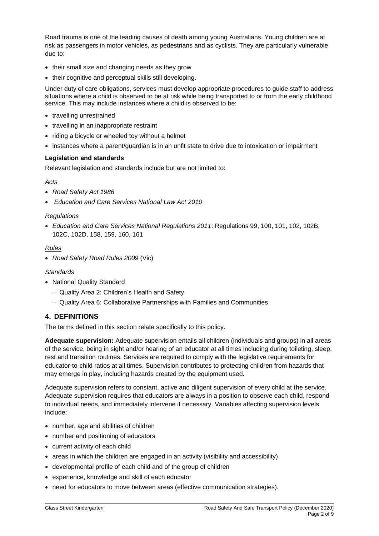Road trauma is one of the leading causes of death among young Australians. Young children are at risk as passengers in motor vehicles, as pedestrians and as cyclists. They are particularly vulnerable due to:

- their small size and changing needs as they grow
- their cognitive and perceptual skills still developing.

Under duty of care obligations, services must develop appropriate procedures to guide staff to address situations where a child is observed to be at risk while being transported to or from the early childhood service. This may include instances where a child is observed to be:

- travelling unrestrained
- travelling in an inappropriate restraint
- riding a bicycle or wheeled toy without a helmet
- instances where a parent/guardian is in an unfit state to drive due to intoxication or impairment

#### **Legislation and standards**

Relevant legislation and standards include but are not limited to:

## *Acts*

- *Road Safety Act 1986*
- *Education and Care Services National Law Act 2010*

## *Regulations*

• *Education and Care Services National Regulations 2011*: Regulations 99, 100, 101, 102, 102B, 102C, 102D, 158, 159, 160, 161

## *Rules*

• *Road Safety Road Rules 2009* (Vic)

#### *Standards*

- National Quality Standard
	- − Quality Area 2: Children's Health and Safety
	- − Quality Area 6: Collaborative Partnerships with Families and Communities

## **4. DEFINITIONS**

The terms defined in this section relate specifically to this policy.

**Adequate supervision:** Adequate supervision entails all children (individuals and groups) in all areas of the service, being in sight and/or hearing of an educator at all times including during toileting, sleep, rest and transition routines. Services are required to comply with the legislative requirements for educator-to-child ratios at all times. Supervision contributes to protecting children from hazards that may emerge in play, including hazards created by the equipment used.

Adequate supervision refers to constant, active and diligent supervision of every child at the service. Adequate supervision requires that educators are always in a position to observe each child, respond to individual needs, and immediately intervene if necessary. Variables affecting supervision levels include:

- number, age and abilities of children
- number and positioning of educators
- current activity of each child
- areas in which the children are engaged in an activity (visibility and accessibility)
- developmental profile of each child and of the group of children
- experience, knowledge and skill of each educator
- need for educators to move between areas (effective communication strategies).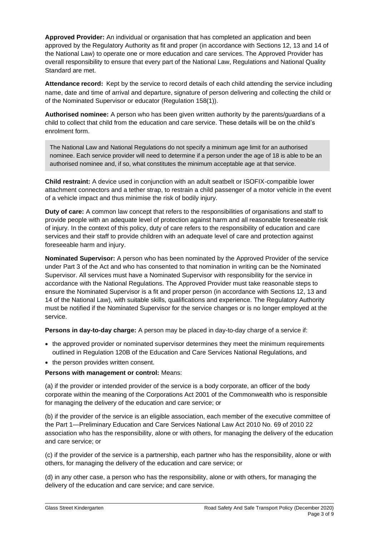**Approved Provider:** An individual or organisation that has completed an application and been approved by the Regulatory Authority as fit and proper (in accordance with Sections 12, 13 and 14 of the National Law) to operate one or more education and care services. The Approved Provider has overall responsibility to ensure that every part of the National Law, Regulations and National Quality Standard are met.

**Attendance record:** Kept by the service to record details of each child attending the service including name, date and time of arrival and departure, signature of person delivering and collecting the child or of the Nominated Supervisor or educator (Regulation 158(1)).

**Authorised nominee:** A person who has been given written authority by the parents/guardians of a child to collect that child from the education and care service. These details will be on the child's enrolment form.

The National Law and National Regulations do not specify a minimum age limit for an authorised nominee. Each service provider will need to determine if a person under the age of 18 is able to be an authorised nominee and, if so, what constitutes the minimum acceptable age at that service.

**Child restraint:** A device used in conjunction with an adult seatbelt or ISOFIX-compatible lower attachment connectors and a tether strap, to restrain a child passenger of a motor vehicle in the event of a vehicle impact and thus minimise the risk of bodily injury.

**Duty of care:** A common law concept that refers to the responsibilities of organisations and staff to provide people with an adequate level of protection against harm and all reasonable foreseeable risk of injury. In the context of this policy, duty of care refers to the responsibility of education and care services and their staff to provide children with an adequate level of care and protection against foreseeable harm and injury.

**Nominated Supervisor:** A person who has been nominated by the Approved Provider of the service under Part 3 of the Act and who has consented to that nomination in writing can be the Nominated Supervisor. All services must have a Nominated Supervisor with responsibility for the service in accordance with the National Regulations. The Approved Provider must take reasonable steps to ensure the Nominated Supervisor is a fit and proper person (in accordance with Sections 12, 13 and 14 of the National Law), with suitable skills, qualifications and experience. The Regulatory Authority must be notified if the Nominated Supervisor for the service changes or is no longer employed at the service.

**Persons in day-to-day charge:** A person may be placed in day-to-day charge of a service if:

- the approved provider or nominated supervisor determines they meet the minimum requirements outlined in Regulation 120B of the Education and Care Services National Regulations, and
- the person provides written consent.

## **Persons with management or control:** Means:

(a) if the provider or intended provider of the service is a body corporate, an officer of the body corporate within the meaning of the Corporations Act 2001 of the Commonwealth who is responsible for managing the delivery of the education and care service; or

(b) if the provider of the service is an eligible association, each member of the executive committee of the Part 1—Preliminary Education and Care Services National Law Act 2010 No. 69 of 2010 22 association who has the responsibility, alone or with others, for managing the delivery of the education and care service; or

(c) if the provider of the service is a partnership, each partner who has the responsibility, alone or with others, for managing the delivery of the education and care service; or

(d) in any other case, a person who has the responsibility, alone or with others, for managing the delivery of the education and care service; and care service.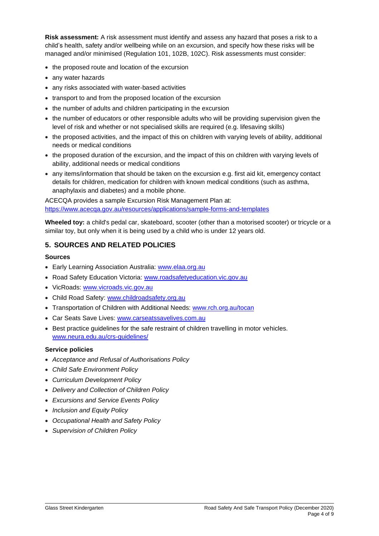**Risk assessment:** A risk assessment must identify and assess any hazard that poses a risk to a child's health, safety and/or wellbeing while on an excursion, and specify how these risks will be managed and/or minimised (Regulation 101, 102B, 102C). Risk assessments must consider:

- the proposed route and location of the excursion
- any water hazards
- any risks associated with water-based activities
- transport to and from the proposed location of the excursion
- the number of adults and children participating in the excursion
- the number of educators or other responsible adults who will be providing supervision given the level of risk and whether or not specialised skills are required (e.g. lifesaving skills)
- the proposed activities, and the impact of this on children with varying levels of ability, additional needs or medical conditions
- the proposed duration of the excursion, and the impact of this on children with varying levels of ability, additional needs or medical conditions
- any items/information that should be taken on the excursion e.g. first aid kit, emergency contact details for children, medication for children with known medical conditions (such as asthma, anaphylaxis and diabetes) and a mobile phone.

ACECQA provides a sample Excursion Risk Management Plan at: <https://www.acecqa.gov.au/resources/applications/sample-forms-and-templates>

**Wheeled toy:** a child's pedal car, skateboard, scooter (other than a motorised scooter) or tricycle or a similar toy, but only when it is being used by a child who is under 12 years old.

## **5. SOURCES AND RELATED POLICIES**

#### **Sources**

- Early Learning Association Australia: [www.elaa.org.au](http://www.elaa.org.au/)
- Road Safety Education Victoria: [www.roadsafetyeducation.vic.gov.au](http://www.roadsafetyeducation.vic.gov.au/)
- VicRoads: [www.vicroads.vic.gov.au](http://www.vicroads.vic.gov.au/)
- Child Road Safety: [www.childroadsafety.org.au](http://www.childroadsafety.org.au/)
- Transportation of Children with Additional Needs: [www.rch.org.au/tocan](http://www.rch.org.au/tocan)
- Car Seats Save Lives: [www.carseatssavelives.com.au](http://www.carseatssavelives.com.au/)
- Best practice guidelines for the safe restraint of children travelling in motor vehicles. [www.neura.edu.au/crs-guidelines/](http://www.neura.edu.au/crs-guidelines/)

## **Service policies**

- *Acceptance and Refusal of Authorisations Policy*
- *Child Safe Environment Policy*
- *Curriculum Development Policy*
- *Delivery and Collection of Children Policy*
- *Excursions and Service Events Policy*
- *Inclusion and Equity Policy*
- *Occupational Health and Safety Policy*
- *Supervision of Children Policy*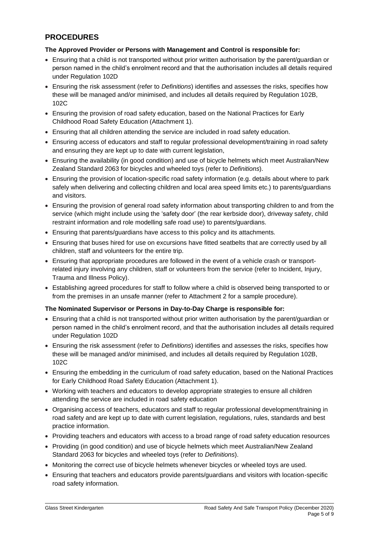## **PROCEDURES**

## **The Approved Provider or Persons with Management and Control is responsible for:**

- Ensuring that a child is not transported without prior written authorisation by the parent/guardian or person named in the child's enrolment record and that the authorisation includes all details required under Regulation 102D
- Ensuring the risk assessment (refer to *Definitions*) identifies and assesses the risks, specifies how these will be managed and/or minimised, and includes all details required by Regulation 102B, 102C
- Ensuring the provision of road safety education, based on the National Practices for Early Childhood Road Safety Education (Attachment 1).
- Ensuring that all children attending the service are included in road safety education.
- Ensuring access of educators and staff to regular professional development/training in road safety and ensuring they are kept up to date with current legislation,
- Ensuring the availability (in good condition) and use of bicycle helmets which meet Australian/New Zealand Standard 2063 for bicycles and wheeled toys (refer to *Definitions*).
- Ensuring the provision of location-specific road safety information (e.g. details about where to park safely when delivering and collecting children and local area speed limits etc.) to parents/guardians and visitors.
- Ensuring the provision of general road safety information about transporting children to and from the service (which might include using the 'safety door' (the rear kerbside door), driveway safety, child restraint information and role modelling safe road use) to parents/guardians.
- Ensuring that parents/guardians have access to this policy and its attachments.
- Ensuring that buses hired for use on excursions have fitted seatbelts that are correctly used by all children, staff and volunteers for the entire trip.
- Ensuring that appropriate procedures are followed in the event of a vehicle crash or transportrelated injury involving any children, staff or volunteers from the service (refer to Incident, Injury, Trauma and Illness Policy).
- Establishing agreed procedures for staff to follow where a child is observed being transported to or from the premises in an unsafe manner (refer to Attachment 2 for a sample procedure).

## **The Nominated Supervisor or Persons in Day-to-Day Charge is responsible for:**

- Ensuring that a child is not transported without prior written authorisation by the parent/guardian or person named in the child's enrolment record, and that the authorisation includes all details required under Regulation 102D
- Ensuring the risk assessment (refer to *Definitions*) identifies and assesses the risks, specifies how these will be managed and/or minimised, and includes all details required by Regulation 102B, 102C
- Ensuring the embedding in the curriculum of road safety education, based on the National Practices for Early Childhood Road Safety Education (Attachment 1).
- Working with teachers and educators to develop appropriate strategies to ensure all children attending the service are included in road safety education
- Organising access of teachers, educators and staff to regular professional development/training in road safety and are kept up to date with current legislation, regulations, rules, standards and best practice information.
- Providing teachers and educators with access to a broad range of road safety education resources
- Providing (in good condition) and use of bicycle helmets which meet Australian/New Zealand Standard 2063 for bicycles and wheeled toys (refer to *Definitions*).
- Monitoring the correct use of bicycle helmets whenever bicycles or wheeled toys are used.
- Ensuring that teachers and educators provide parents/guardians and visitors with location-specific road safety information.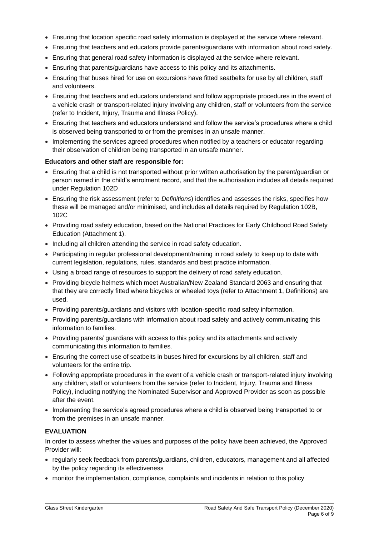- Ensuring that location specific road safety information is displayed at the service where relevant.
- Ensuring that teachers and educators provide parents/guardians with information about road safety.
- Ensuring that general road safety information is displayed at the service where relevant.
- Ensuring that parents/guardians have access to this policy and its attachments.
- Ensuring that buses hired for use on excursions have fitted seatbelts for use by all children, staff and volunteers.
- Ensuring that teachers and educators understand and follow appropriate procedures in the event of a vehicle crash or transport-related injury involving any children, staff or volunteers from the service (refer to Incident, Injury, Trauma and Illness Policy).
- Ensuring that teachers and educators understand and follow the service's procedures where a child is observed being transported to or from the premises in an unsafe manner.
- Implementing the services agreed procedures when notified by a teachers or educator regarding their observation of children being transported in an unsafe manner.

## **Educators and other staff are responsible for:**

- Ensuring that a child is not transported without prior written authorisation by the parent/guardian or person named in the child's enrolment record, and that the authorisation includes all details required under Regulation 102D
- Ensuring the risk assessment (refer to *Definitions*) identifies and assesses the risks, specifies how these will be managed and/or minimised, and includes all details required by Regulation 102B, 102C
- Providing road safety education, based on the National Practices for Early Childhood Road Safety Education (Attachment 1).
- Including all children attending the service in road safety education.
- Participating in regular professional development/training in road safety to keep up to date with current legislation, regulations, rules, standards and best practice information.
- Using a broad range of resources to support the delivery of road safety education.
- Providing bicycle helmets which meet Australian/New Zealand Standard 2063 and ensuring that that they are correctly fitted where bicycles or wheeled toys (refer to Attachment 1, Definitions) are used.
- Providing parents/guardians and visitors with location-specific road safety information.
- Providing parents/guardians with information about road safety and actively communicating this information to families.
- Providing parents/ guardians with access to this policy and its attachments and actively communicating this information to families.
- Ensuring the correct use of seatbelts in buses hired for excursions by all children, staff and volunteers for the entire trip.
- Following appropriate procedures in the event of a vehicle crash or transport-related injury involving any children, staff or volunteers from the service (refer to Incident, Injury, Trauma and Illness Policy), including notifying the Nominated Supervisor and Approved Provider as soon as possible after the event.
- Implementing the service's agreed procedures where a child is observed being transported to or from the premises in an unsafe manner.

## **EVALUATION**

In order to assess whether the values and purposes of the policy have been achieved, the Approved Provider will:

- regularly seek feedback from parents/guardians, children, educators, management and all affected by the policy regarding its effectiveness
- monitor the implementation, compliance, complaints and incidents in relation to this policy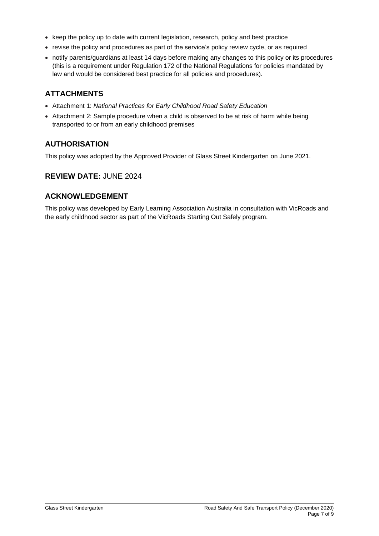- keep the policy up to date with current legislation, research, policy and best practice
- revise the policy and procedures as part of the service's policy review cycle, or as required
- notify parents/guardians at least 14 days before making any changes to this policy or its procedures (this is a requirement under Regulation 172 of the National Regulations for policies mandated by law and would be considered best practice for all policies and procedures).

## **ATTACHMENTS**

- Attachment 1: *National Practices for Early Childhood Road Safety Education*
- Attachment 2: Sample procedure when a child is observed to be at risk of harm while being transported to or from an early childhood premises

## **AUTHORISATION**

This policy was adopted by the Approved Provider of Glass Street Kindergarten on June 2021.

## **REVIEW DATE:** JUNE 2024

## **ACKNOWLEDGEMENT**

This policy was developed by Early Learning Association Australia in consultation with VicRoads and the early childhood sector as part of the VicRoads Starting Out Safely program.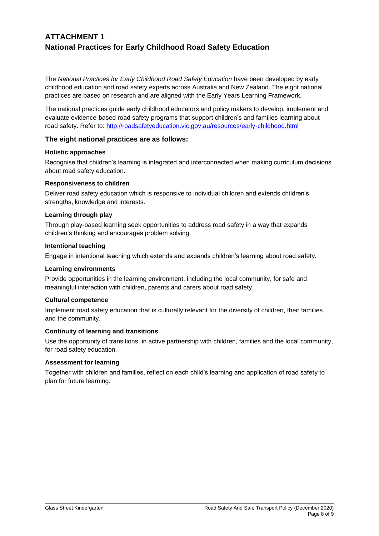# **ATTACHMENT 1 National Practices for Early Childhood Road Safety Education**

The *National Practices for Early Childhood Road Safety Education* have been developed by early childhood education and road safety experts across Australia and New Zealand. The eight national practices are based on research and are aligned with the Early Years Learning Framework.

The national practices guide early childhood educators and policy makers to develop, implement and evaluate evidence-based road safety programs that support children's and families learning about road safety. Refer to:<http://roadsafetyeducation.vic.gov.au/resources/early-childhood.html>

## **The eight national practices are as follows:**

#### **Holistic approaches**

Recognise that children's learning is integrated and interconnected when making curriculum decisions about road safety education.

## **Responsiveness to children**

Deliver road safety education which is responsive to individual children and extends children's strengths, knowledge and interests.

## **Learning through play**

Through play-based learning seek opportunities to address road safety in a way that expands children's thinking and encourages problem solving.

#### **Intentional teaching**

Engage in intentional teaching which extends and expands children's learning about road safety.

#### **Learning environments**

Provide opportunities in the learning environment, including the local community, for safe and meaningful interaction with children, parents and carers about road safety.

## **Cultural competence**

Implement road safety education that is culturally relevant for the diversity of children, their families and the community.

## **Continuity of learning and transitions**

Use the opportunity of transitions, in active partnership with children, families and the local community, for road safety education.

## **Assessment for learning**

Together with children and families, reflect on each child's learning and application of road safety to plan for future learning.